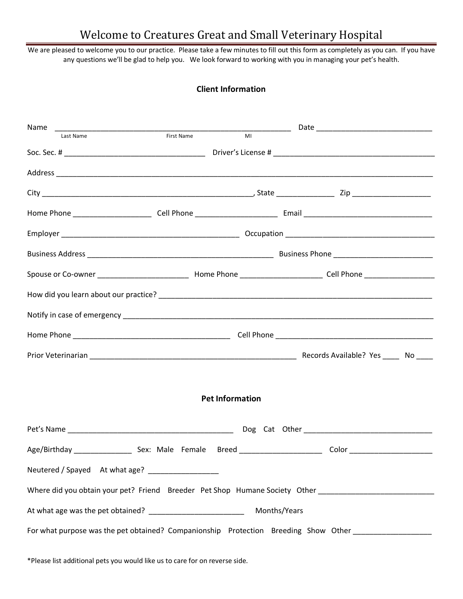## Welcome to Creatures Great and Small Veterinary Hospital

We are pleased to welcome you to our practice. Please take a few minutes to fill out this form as completely as you can. If you have any questions we'll be glad to help you. We look forward to working with you in managing your pet's health.

## **Client Information**

|                                                                                                                | <u> 1989 - Johann John Stoff, deutscher Stoffen und der Stoffen und der Stoffen und der Stoffen und der Stoffen</u> |              |  |  |  |
|----------------------------------------------------------------------------------------------------------------|---------------------------------------------------------------------------------------------------------------------|--------------|--|--|--|
| Last Name                                                                                                      | First Name<br>MI                                                                                                    |              |  |  |  |
|                                                                                                                |                                                                                                                     |              |  |  |  |
|                                                                                                                |                                                                                                                     |              |  |  |  |
|                                                                                                                |                                                                                                                     |              |  |  |  |
|                                                                                                                |                                                                                                                     |              |  |  |  |
|                                                                                                                |                                                                                                                     |              |  |  |  |
|                                                                                                                |                                                                                                                     |              |  |  |  |
|                                                                                                                |                                                                                                                     |              |  |  |  |
|                                                                                                                |                                                                                                                     |              |  |  |  |
|                                                                                                                |                                                                                                                     |              |  |  |  |
|                                                                                                                |                                                                                                                     |              |  |  |  |
|                                                                                                                |                                                                                                                     |              |  |  |  |
| <b>Pet Information</b>                                                                                         |                                                                                                                     |              |  |  |  |
|                                                                                                                |                                                                                                                     |              |  |  |  |
|                                                                                                                |                                                                                                                     |              |  |  |  |
| Neutered / Spayed At what age?                                                                                 |                                                                                                                     |              |  |  |  |
| Where did you obtain your pet? Friend Breeder Pet Shop Humane Society Other __________________________________ |                                                                                                                     |              |  |  |  |
|                                                                                                                |                                                                                                                     | Months/Years |  |  |  |
| For what purpose was the pet obtained? Companionship Protection Breeding Show Other                            |                                                                                                                     |              |  |  |  |

\*Please list additional pets you would like us to care for on reverse side.